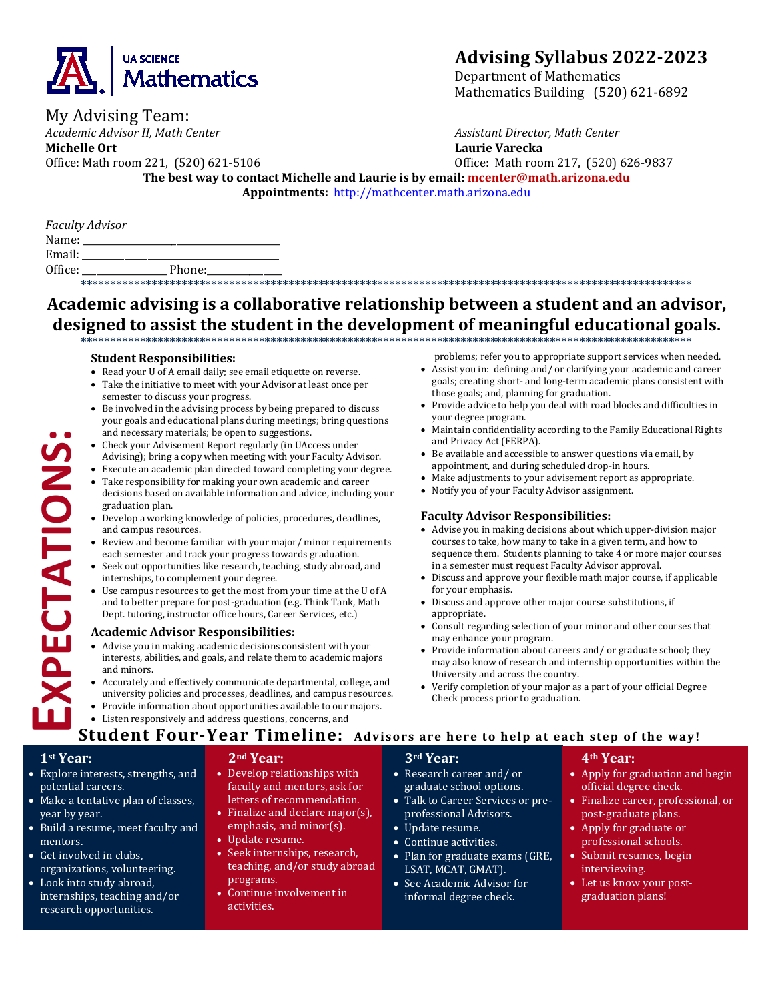

# **Advising Syllabus 2022-2023**

Department of Mathematics Mathematics Building (520) 621-6892

*Academic Advisor II, Math Center Assistant Director, Math Center*

**Michelle Ort Laurie Varecka**

My Advising Team:

Office: Math room 221, (520) 621-5106 Office: Math room 217, (520) 626-9837 **The best way to contact Michelle and Laurie is by email: mcenter@math.arizona.edu Appointments:** [http://mathcenter.math.arizona.edu](http://mathcenter.math.arizona.edu/)

|         | <b>Faculty Advisor</b> |
|---------|------------------------|
| Name:   |                        |
| Email:  |                        |
| Office: | Phone:                 |
|         |                        |

#### \*\*\*\*\*\*\*\*\*\*\*\*\*\*\*\*\*\*\*\*\*\*\*\*\*\*\*\*\*\*\*\*\*\*\*\*\*\*\*\*\*\*\*\*\*\*\*\*\*\*\*\*\*\*\*\*\*\*\*\*\*\*\*\*\*\*\*\*\*\*\*\*\*\*\*\*\*\*\*\*\*\*\*\*\*\*\*\*\*\*\*\*\*\*\*\*\*\*\*\*\*\*\* **Academic advising is a collaborative relationship between a student and an advisor, designed to assist the student in the development of meaningful educational goals.** \*\*\*\*\*\*\*\*\*\*\*\*\*\*\*\*\*\*\*\*\*\*\*\*\*\*\*\*\*\*\*\*\*\*\*\*\*\*\*\*\*\*\*\*\*\*\*\*\*\*\*\*\*\*\*\*\*\*\*\*\*\*\*\*\*\*\*\*\*\*\*\*\*\*\*\*\*\*\*\*\*\*\*\*\*\*\*\*\*\*\*\*\*\*\*\*\*\*\*\*\*\*\*

#### **Student Responsibilities:**

- Read your U of A email daily; see email etiquette on reverse.<br>• Take the initiative to meet with your Advisor at least once no
- Take the initiative to meet with your Advisor at least once per semester to discuss your progress.
- Be involved in the advising process by being prepared to discuss your goals and educational plans during meetings; bring questions and necessary materials; be open to suggestions.
- Check your Advisement Report regularly (in UAccess under Advising); bring a copy when meeting with your Faculty Advisor.
- Execute an academic plan directed toward completing your degree.
- Take responsibility for making your own academic and career decisions based on available information and advice, including your graduation plan.
- Develop a working knowledge of policies, procedures, deadlines, and campus resources.
- Review and become familiar with your major/ minor requirements each semester and track your progress towards graduation.
- Seek out opportunities like research, teaching, study abroad, and internships, to complement your degree.
- Use campus resources to get the most from your time at the U of A and to better prepare for post-graduation (e.g. Think Tank, Math Dept. tutoring, instructor office hours, Career Services, etc.)

#### **Academic Advisor Responsibilities:**

- Advise you in making academic decisions consistent with your interests, abilities, and goals, and relate them to academic majors and minors.
- Accurately and effectively communicate departmental, college, and university policies and processes, deadlines, and campus resources.
- Provide information about opportunities available to our majors.
- Listen responsively and address questions, concerns, and

problems; refer you to appropriate support services when needed.

- Assist you in: defining and/ or clarifying your academic and career goals; creating short- and long-term academic plans consistent with those goals; and, planning for graduation.
- Provide advice to help you deal with road blocks and difficulties in your degree program.
- Maintain confidentiality according to the Family Educational Rights and Privacy Act (FERPA).
- Be available and accessible to answer questions via email, by appointment, and during scheduled drop-in hours.
- Make adjustments to your advisement report as appropriate.
- Notify you of your Faculty Advisor assignment.

#### **Faculty Advisor Responsibilities:**

- Advise you in making decisions about which upper-division major courses to take, how many to take in a given term, and how to sequence them. Students planning to take 4 or more major courses in a semester must request Faculty Advisor approval.
- Discuss and approve your flexible math major course, if applicable for your emphasis.
- Discuss and approve other major course substitutions, if appropriate.
- Consult regarding selection of your minor and other courses that may enhance your program.
- Provide information about careers and/ or graduate school; they may also know of research and internship opportunities within the University and across the country.
- Verify completion of your major as a part of your official Degree Check process prior to graduation.

# **Student Four-Year Timeline: Advisors are here to help at each step of the way!**

### **1st Year:**

'n.

**EXPECTATIONS:**

**XPECTATIONS** 

- Explore interests, strengths, and potential careers.
- Make a tentative plan of classes, year by year.
- Build a resume, meet faculty and mentors.
- Get involved in clubs, organizations, volunteering.
- Look into study abroad, internships, teaching and/or research opportunities.

#### **2nd Year:**

- Develop relationships with faculty and mentors, ask for letters of recommendation.
- Finalize and declare major(s), emphasis, and minor(s).
- Update resume.
- Seek internships, research, teaching, and/or study abroad programs.
- Continue involvement in activities.

# **3rd Year:**

- Research career and/ or graduate school options.
- Talk to Career Services or preprofessional Advisors.
- Update resume.
- Continue activities.
- Plan for graduate exams (GRE, LSAT, MCAT, GMAT).
- See Academic Advisor for informal degree check.

#### **4th Year:**

- Apply for graduation and begin official degree check.
- Finalize career, professional, or post-graduate plans.
- Apply for graduate or professional schools.
- Submit resumes, begin interviewing.
- Let us know your postgraduation plans!